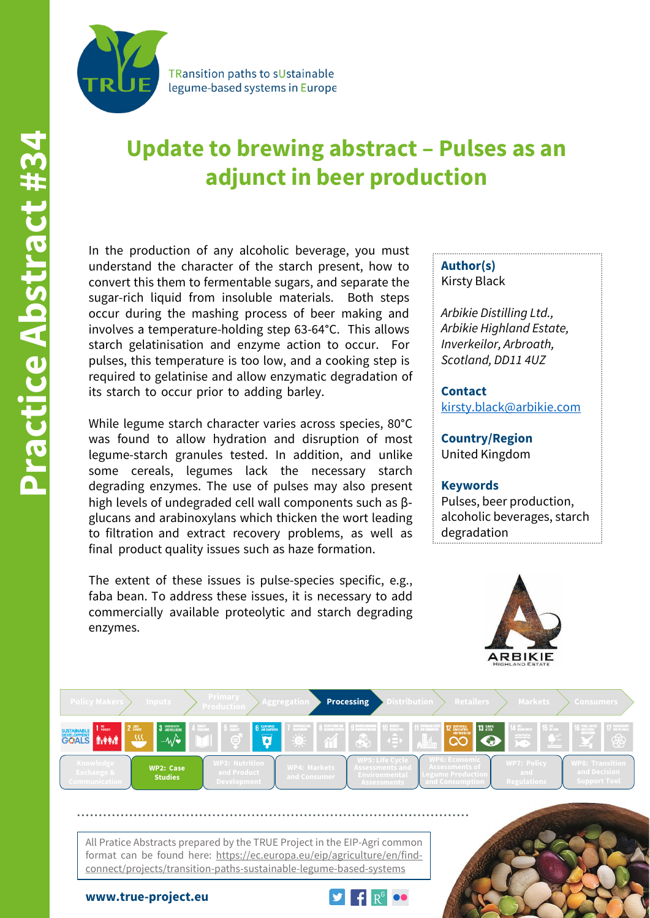

TRansition paths to sUstainable legume-based systems in Europe

# **Update to brewing abstract – Pulses as an adjunct in beer production**

In the production of any alcoholic beverage, you must understand the character of the starch present, how to convert this them to fermentable sugars, and separate the sugar-rich liquid from insoluble materials. Both steps occur during the mashing process of beer making and involves a temperature-holding step 63-64°C. This allows starch gelatinisation and enzyme action to occur. For pulses, this temperature is too low, and a cooking step is required to gelatinise and allow enzymatic degradation of its starch to occur prior to adding barley.

While legume starch character varies across species, 80°C was found to allow hydration and disruption of most legume-starch granules tested. In addition, and unlike some cereals, legumes lack the necessary starch degrading enzymes. The use of pulses may also present high levels of undegraded cell wall components such as β‐ glucans and arabinoxylans which thicken the wort leading to filtration and extract recovery problems, as well as final product quality issues such as haze formation.

The extent of these issues is pulse-species specific, e.g., faba bean. To address these issues, it is necessary to add commercially available proteolytic and starch degrading enzymes.

### **Author(s)** Kirsty Black

*Arbikie Distilling Ltd., Arbikie Highland Estate, Inverkeilor, Arbroath, Scotland, DD11 4UZ*

**Contact** [kirsty.black@arbikie.com](mailto:kirsty.black@arbikie.com)

**Country/Region** United Kingdom

#### **Keywords**

Pulses, beer production, alcoholic beverages, starch degradation





All Pratice Abstracts prepared by the TRUE Project in the EIP-Agri common format can be found here: https://ec.europa.eu/eip/agriculture/en/findconnect/projects/transition-paths-sustainable-legume-based-systems

**www.true-project.eu**